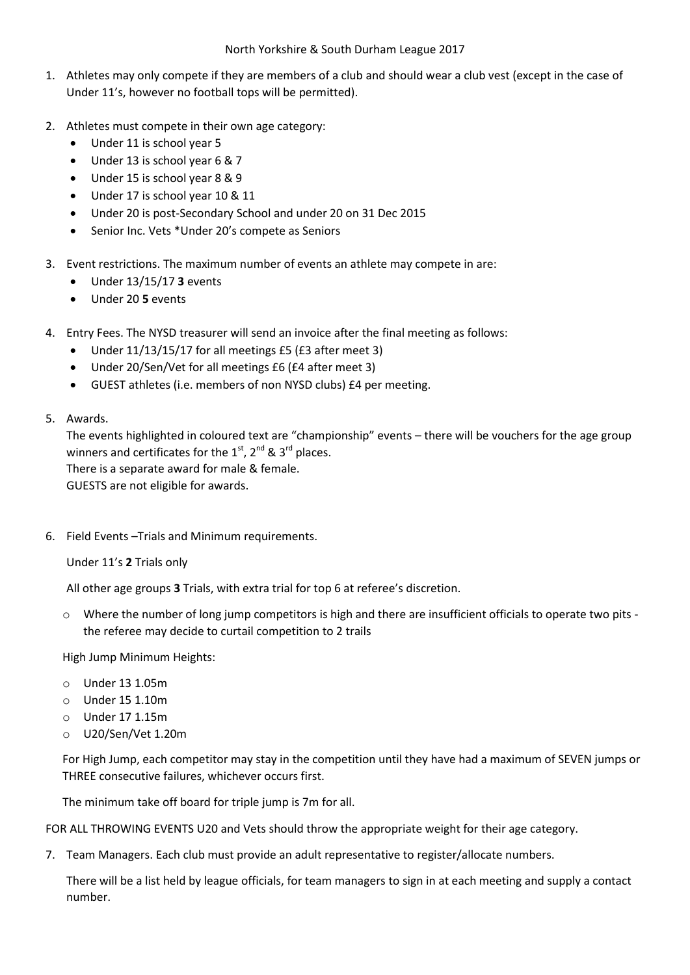- 1. Athletes may only compete if they are members of a club and should wear a club vest (except in the case of Under 11's, however no football tops will be permitted).
- 2. Athletes must compete in their own age category:
	- Under 11 is school year 5
	- Under 13 is school year 6 & 7
	- Under 15 is school year 8 & 9
	- Under 17 is school year 10 & 11
	- Under 20 is post-Secondary School and under 20 on 31 Dec 2015
	- Senior Inc. Vets \* Under 20's compete as Seniors
- 3. Event restrictions. The maximum number of events an athlete may compete in are:
	- Under 13/15/17 **3** events
	- Under 20 **5** events
- 4. Entry Fees. The NYSD treasurer will send an invoice after the final meeting as follows:
	- Under 11/13/15/17 for all meetings £5 (£3 after meet 3)
	- Under 20/Sen/Vet for all meetings £6 (£4 after meet 3)
	- GUEST athletes (i.e. members of non NYSD clubs) £4 per meeting.
- 5. Awards.

The events highlighted in coloured text are "championship" events – there will be vouchers for the age group winners and certificates for the  $1<sup>st</sup>$ ,  $2<sup>nd</sup>$  &  $3<sup>rd</sup>$  places. There is a separate award for male & female.

GUESTS are not eligible for awards.

6. Field Events –Trials and Minimum requirements.

Under 11's **2** Trials only

All other age groups **3** Trials, with extra trial for top 6 at referee's discretion.

 $\circ$  Where the number of long jump competitors is high and there are insufficient officials to operate two pits the referee may decide to curtail competition to 2 trails

High Jump Minimum Heights:

- o Under 13 1.05m
- o Under 15 1.10m
- o Under 17 1.15m
- o U20/Sen/Vet 1.20m

For High Jump, each competitor may stay in the competition until they have had a maximum of SEVEN jumps or THREE consecutive failures, whichever occurs first.

The minimum take off board for triple jump is 7m for all.

FOR ALL THROWING EVENTS U20 and Vets should throw the appropriate weight for their age category.

7. Team Managers. Each club must provide an adult representative to register/allocate numbers.

There will be a list held by league officials, for team managers to sign in at each meeting and supply a contact number.